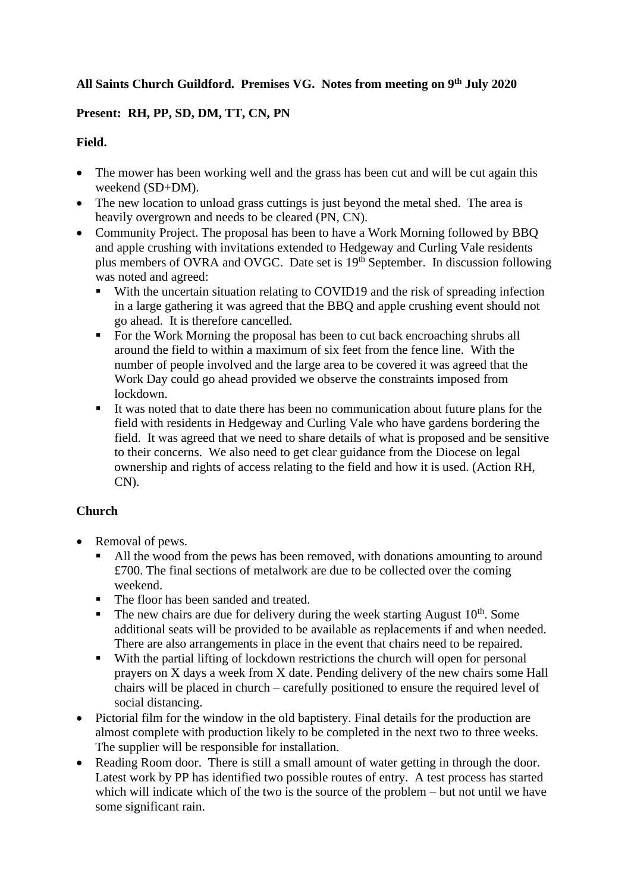## **All Saints Church Guildford. Premises VG. Notes from meeting on 9 th July 2020**

## **Present: RH, PP, SD, DM, TT, CN, PN**

## **Field.**

- The mower has been working well and the grass has been cut and will be cut again this weekend (SD+DM).
- The new location to unload grass cuttings is just beyond the metal shed. The area is heavily overgrown and needs to be cleared (PN, CN).
- Community Project. The proposal has been to have a Work Morning followed by BBQ and apple crushing with invitations extended to Hedgeway and Curling Vale residents plus members of OVRA and OVGC. Date set is 19<sup>th</sup> September. In discussion following was noted and agreed:
	- With the uncertain situation relating to COVID19 and the risk of spreading infection in a large gathering it was agreed that the BBQ and apple crushing event should not go ahead. It is therefore cancelled.
	- For the Work Morning the proposal has been to cut back encroaching shrubs all around the field to within a maximum of six feet from the fence line. With the number of people involved and the large area to be covered it was agreed that the Work Day could go ahead provided we observe the constraints imposed from lockdown.
	- It was noted that to date there has been no communication about future plans for the field with residents in Hedgeway and Curling Vale who have gardens bordering the field. It was agreed that we need to share details of what is proposed and be sensitive to their concerns. We also need to get clear guidance from the Diocese on legal ownership and rights of access relating to the field and how it is used. (Action RH, CN).

# **Church**

- Removal of pews.
	- All the wood from the pews has been removed, with donations amounting to around £700. The final sections of metalwork are due to be collected over the coming weekend.
	- The floor has been sanded and treated.
	- $\blacksquare$  The new chairs are due for delivery during the week starting August  $10^{th}$ . Some additional seats will be provided to be available as replacements if and when needed. There are also arrangements in place in the event that chairs need to be repaired.
	- With the partial lifting of lockdown restrictions the church will open for personal prayers on X days a week from X date. Pending delivery of the new chairs some Hall chairs will be placed in church – carefully positioned to ensure the required level of social distancing.
- Pictorial film for the window in the old baptistery. Final details for the production are almost complete with production likely to be completed in the next two to three weeks. The supplier will be responsible for installation.
- Reading Room door. There is still a small amount of water getting in through the door. Latest work by PP has identified two possible routes of entry. A test process has started which will indicate which of the two is the source of the problem – but not until we have some significant rain.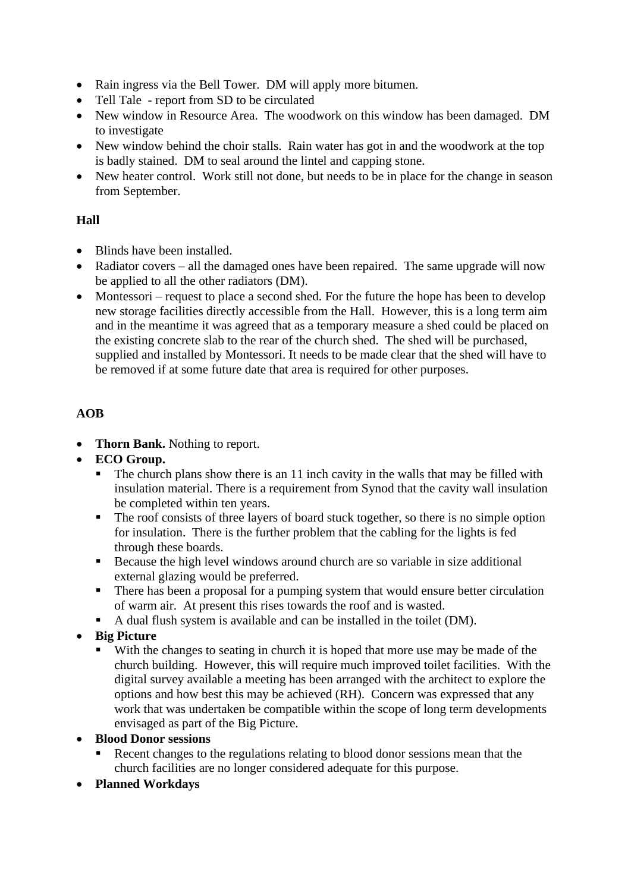- Rain ingress via the Bell Tower. DM will apply more bitumen.
- Tell Tale report from SD to be circulated
- New window in Resource Area. The woodwork on this window has been damaged. DM to investigate
- New window behind the choir stalls. Rain water has got in and the woodwork at the top is badly stained. DM to seal around the lintel and capping stone.
- New heater control. Work still not done, but needs to be in place for the change in season from September.

#### **Hall**

- Blinds have been installed.
- Radiator covers all the damaged ones have been repaired. The same upgrade will now be applied to all the other radiators (DM).
- Montessori request to place a second shed. For the future the hope has been to develop new storage facilities directly accessible from the Hall. However, this is a long term aim and in the meantime it was agreed that as a temporary measure a shed could be placed on the existing concrete slab to the rear of the church shed. The shed will be purchased, supplied and installed by Montessori. It needs to be made clear that the shed will have to be removed if at some future date that area is required for other purposes.

## **AOB**

- **Thorn Bank.** Nothing to report.
- **ECO Group.** 
	- The church plans show there is an 11 inch cavity in the walls that may be filled with insulation material. There is a requirement from Synod that the cavity wall insulation be completed within ten years.
	- The roof consists of three layers of board stuck together, so there is no simple option for insulation. There is the further problem that the cabling for the lights is fed through these boards.
	- Because the high level windows around church are so variable in size additional external glazing would be preferred.
	- There has been a proposal for a pumping system that would ensure better circulation of warm air. At present this rises towards the roof and is wasted.
	- A dual flush system is available and can be installed in the toilet (DM).
- **Big Picture**
	- With the changes to seating in church it is hoped that more use may be made of the church building. However, this will require much improved toilet facilities. With the digital survey available a meeting has been arranged with the architect to explore the options and how best this may be achieved (RH). Concern was expressed that any work that was undertaken be compatible within the scope of long term developments envisaged as part of the Big Picture.
- **Blood Donor sessions**
	- Recent changes to the regulations relating to blood donor sessions mean that the church facilities are no longer considered adequate for this purpose.
- **Planned Workdays**